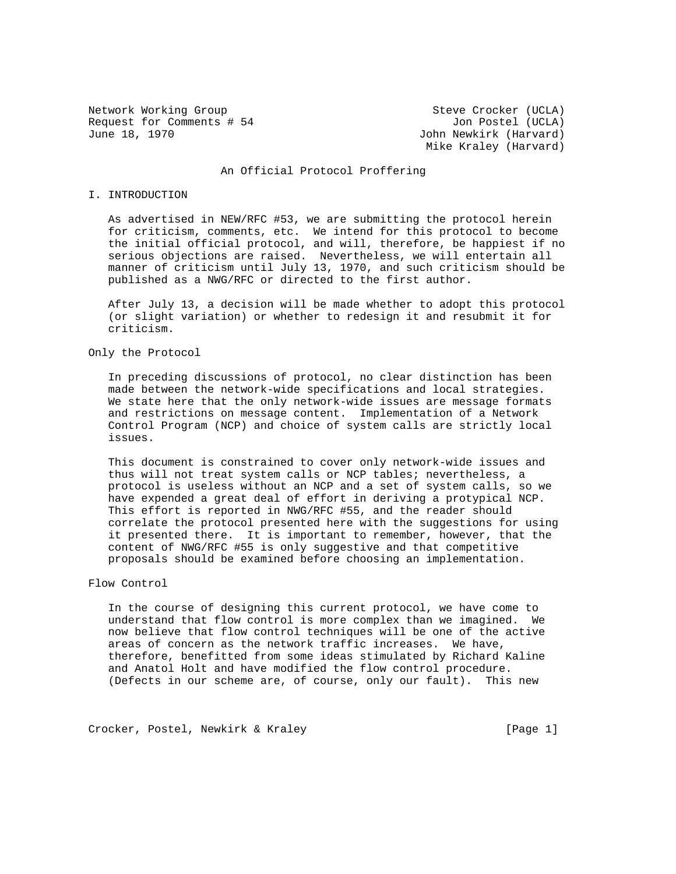Network Working Group Steve Crocker (UCLA) Request for Comments # 54 Jon Postel (UCLA) June 18, 1970 John Newkirk (Harvard)

Mike Kraley (Harvard)

# An Official Protocol Proffering

## I. INTRODUCTION

 As advertised in NEW/RFC #53, we are submitting the protocol herein for criticism, comments, etc. We intend for this protocol to become the initial official protocol, and will, therefore, be happiest if no serious objections are raised. Nevertheless, we will entertain all manner of criticism until July 13, 1970, and such criticism should be published as a NWG/RFC or directed to the first author.

 After July 13, a decision will be made whether to adopt this protocol (or slight variation) or whether to redesign it and resubmit it for criticism.

## Only the Protocol

 In preceding discussions of protocol, no clear distinction has been made between the network-wide specifications and local strategies. We state here that the only network-wide issues are message formats and restrictions on message content. Implementation of a Network Control Program (NCP) and choice of system calls are strictly local issues.

 This document is constrained to cover only network-wide issues and thus will not treat system calls or NCP tables; nevertheless, a protocol is useless without an NCP and a set of system calls, so we have expended a great deal of effort in deriving a protypical NCP. This effort is reported in NWG/RFC #55, and the reader should correlate the protocol presented here with the suggestions for using it presented there. It is important to remember, however, that the content of NWG/RFC #55 is only suggestive and that competitive proposals should be examined before choosing an implementation.

## Flow Control

 In the course of designing this current protocol, we have come to understand that flow control is more complex than we imagined. We now believe that flow control techniques will be one of the active areas of concern as the network traffic increases. We have, therefore, benefitted from some ideas stimulated by Richard Kaline and Anatol Holt and have modified the flow control procedure. (Defects in our scheme are, of course, only our fault). This new

Crocker, Postel, Newkirk & Kraley [Page 1]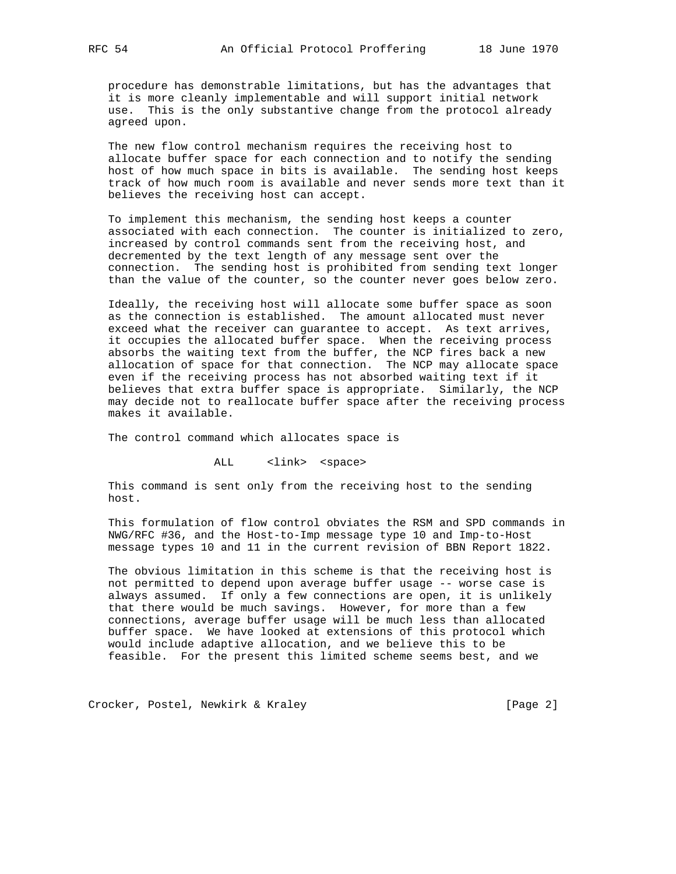procedure has demonstrable limitations, but has the advantages that it is more cleanly implementable and will support initial network use. This is the only substantive change from the protocol already agreed upon.

 The new flow control mechanism requires the receiving host to allocate buffer space for each connection and to notify the sending host of how much space in bits is available. The sending host keeps track of how much room is available and never sends more text than it believes the receiving host can accept.

 To implement this mechanism, the sending host keeps a counter associated with each connection. The counter is initialized to zero, increased by control commands sent from the receiving host, and decremented by the text length of any message sent over the connection. The sending host is prohibited from sending text longer than the value of the counter, so the counter never goes below zero.

 Ideally, the receiving host will allocate some buffer space as soon as the connection is established. The amount allocated must never exceed what the receiver can guarantee to accept. As text arrives, it occupies the allocated buffer space. When the receiving process absorbs the waiting text from the buffer, the NCP fires back a new allocation of space for that connection. The NCP may allocate space even if the receiving process has not absorbed waiting text if it believes that extra buffer space is appropriate. Similarly, the NCP may decide not to reallocate buffer space after the receiving process makes it available.

The control command which allocates space is

ALL <link> <space>

 This command is sent only from the receiving host to the sending host.

 This formulation of flow control obviates the RSM and SPD commands in NWG/RFC #36, and the Host-to-Imp message type 10 and Imp-to-Host message types 10 and 11 in the current revision of BBN Report 1822.

 The obvious limitation in this scheme is that the receiving host is not permitted to depend upon average buffer usage -- worse case is always assumed. If only a few connections are open, it is unlikely that there would be much savings. However, for more than a few connections, average buffer usage will be much less than allocated buffer space. We have looked at extensions of this protocol which would include adaptive allocation, and we believe this to be feasible. For the present this limited scheme seems best, and we

Crocker, Postel, Newkirk & Kraley [Page 2]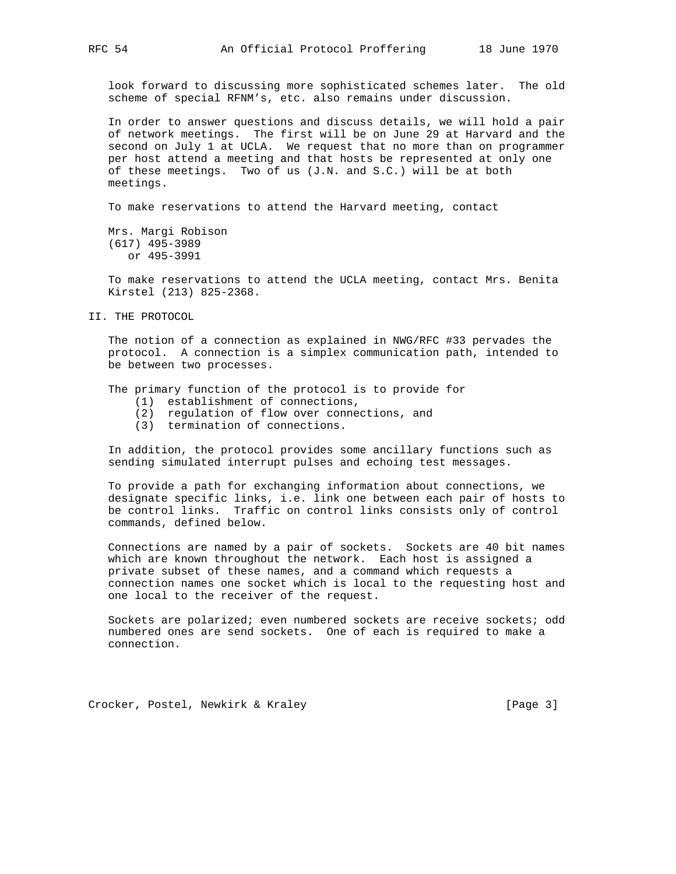look forward to discussing more sophisticated schemes later. The old scheme of special RFNM's, etc. also remains under discussion.

 In order to answer questions and discuss details, we will hold a pair of network meetings. The first will be on June 29 at Harvard and the second on July 1 at UCLA. We request that no more than on programmer per host attend a meeting and that hosts be represented at only one of these meetings. Two of us  $(J.N.$  and  $S.C.$ ) will be at both meetings.

To make reservations to attend the Harvard meeting, contact

 Mrs. Margi Robison (617) 495-3989 or 495-3991

 To make reservations to attend the UCLA meeting, contact Mrs. Benita Kirstel (213) 825-2368.

II. THE PROTOCOL

 The notion of a connection as explained in NWG/RFC #33 pervades the protocol. A connection is a simplex communication path, intended to be between two processes.

The primary function of the protocol is to provide for

- (1) establishment of connections,
- (2) regulation of flow over connections, and
- (3) termination of connections.

 In addition, the protocol provides some ancillary functions such as sending simulated interrupt pulses and echoing test messages.

 To provide a path for exchanging information about connections, we designate specific links, i.e. link one between each pair of hosts to be control links. Traffic on control links consists only of control commands, defined below.

 Connections are named by a pair of sockets. Sockets are 40 bit names which are known throughout the network. Each host is assigned a private subset of these names, and a command which requests a connection names one socket which is local to the requesting host and one local to the receiver of the request.

 Sockets are polarized; even numbered sockets are receive sockets; odd numbered ones are send sockets. One of each is required to make a connection.

Crocker, Postel, Newkirk & Kraley [Page 3]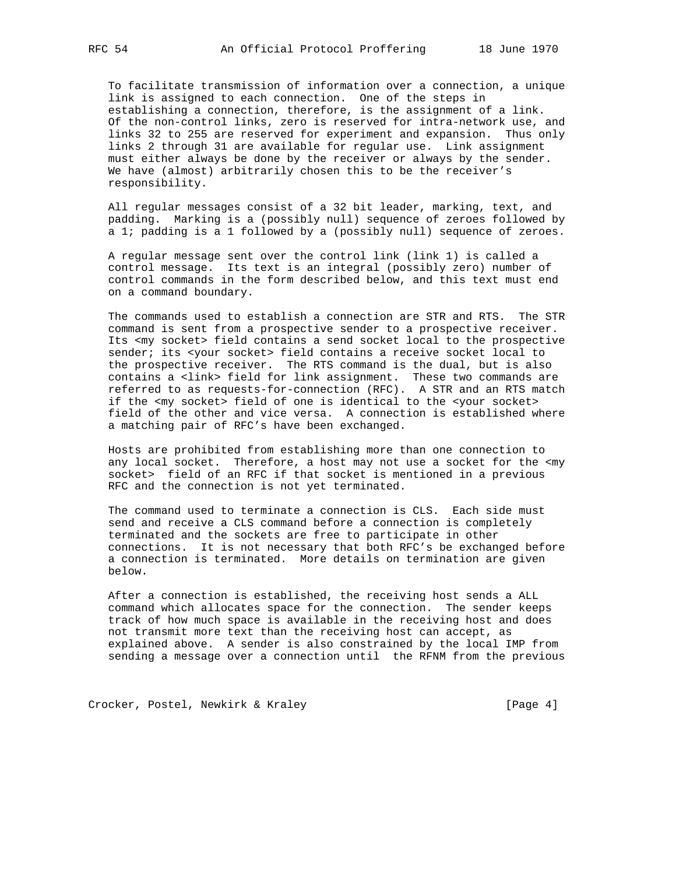To facilitate transmission of information over a connection, a unique link is assigned to each connection. One of the steps in establishing a connection, therefore, is the assignment of a link. Of the non-control links, zero is reserved for intra-network use, and links 32 to 255 are reserved for experiment and expansion. Thus only links 2 through 31 are available for regular use. Link assignment must either always be done by the receiver or always by the sender. We have (almost) arbitrarily chosen this to be the receiver's responsibility.

 All regular messages consist of a 32 bit leader, marking, text, and padding. Marking is a (possibly null) sequence of zeroes followed by a 1; padding is a 1 followed by a (possibly null) sequence of zeroes.

 A regular message sent over the control link (link 1) is called a control message. Its text is an integral (possibly zero) number of control commands in the form described below, and this text must end on a command boundary.

 The commands used to establish a connection are STR and RTS. The STR command is sent from a prospective sender to a prospective receiver. Its <my socket> field contains a send socket local to the prospective sender; its <your socket> field contains a receive socket local to the prospective receiver. The RTS command is the dual, but is also contains a <link> field for link assignment. These two commands are referred to as requests-for-connection (RFC). A STR and an RTS match if the <my socket> field of one is identical to the <your socket> field of the other and vice versa. A connection is established where a matching pair of RFC's have been exchanged.

 Hosts are prohibited from establishing more than one connection to any local socket. Therefore, a host may not use a socket for the <my socket> field of an RFC if that socket is mentioned in a previous RFC and the connection is not yet terminated.

 The command used to terminate a connection is CLS. Each side must send and receive a CLS command before a connection is completely terminated and the sockets are free to participate in other connections. It is not necessary that both RFC's be exchanged before a connection is terminated. More details on termination are given below.

 After a connection is established, the receiving host sends a ALL command which allocates space for the connection. The sender keeps track of how much space is available in the receiving host and does not transmit more text than the receiving host can accept, as explained above. A sender is also constrained by the local IMP from sending a message over a connection until the RFNM from the previous

Crocker, Postel, Newkirk & Kraley [Page 4]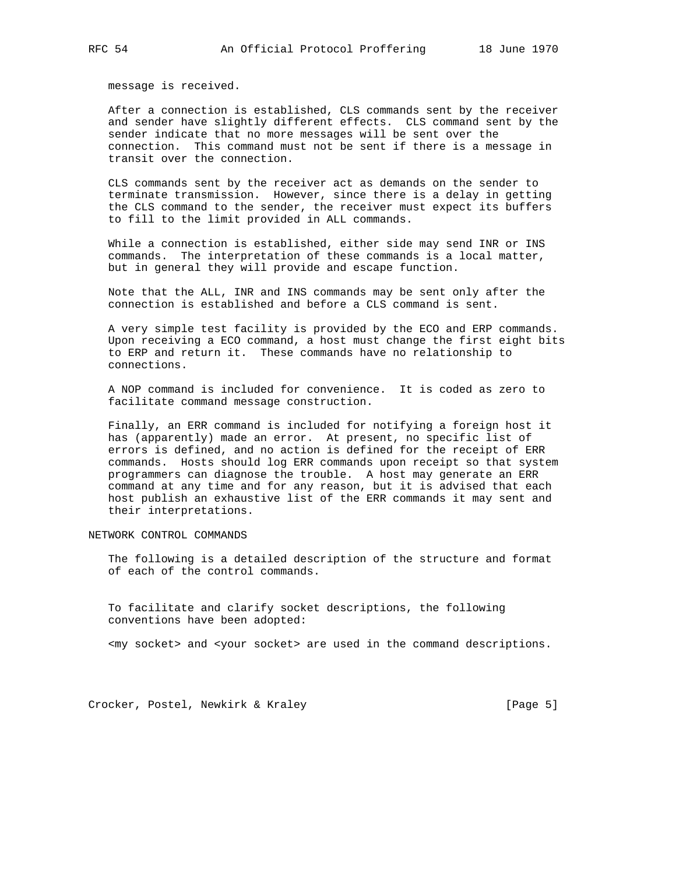message is received.

 After a connection is established, CLS commands sent by the receiver and sender have slightly different effects. CLS command sent by the sender indicate that no more messages will be sent over the connection. This command must not be sent if there is a message in transit over the connection.

 CLS commands sent by the receiver act as demands on the sender to terminate transmission. However, since there is a delay in getting the CLS command to the sender, the receiver must expect its buffers to fill to the limit provided in ALL commands.

 While a connection is established, either side may send INR or INS commands. The interpretation of these commands is a local matter, but in general they will provide and escape function.

 Note that the ALL, INR and INS commands may be sent only after the connection is established and before a CLS command is sent.

 A very simple test facility is provided by the ECO and ERP commands. Upon receiving a ECO command, a host must change the first eight bits to ERP and return it. These commands have no relationship to connections.

 A NOP command is included for convenience. It is coded as zero to facilitate command message construction.

 Finally, an ERR command is included for notifying a foreign host it has (apparently) made an error. At present, no specific list of errors is defined, and no action is defined for the receipt of ERR commands. Hosts should log ERR commands upon receipt so that system programmers can diagnose the trouble. A host may generate an ERR command at any time and for any reason, but it is advised that each host publish an exhaustive list of the ERR commands it may sent and their interpretations.

NETWORK CONTROL COMMANDS

 The following is a detailed description of the structure and format of each of the control commands.

 To facilitate and clarify socket descriptions, the following conventions have been adopted:

<my socket> and <your socket> are used in the command descriptions.

Crocker, Postel, Newkirk & Kraley [Page 5]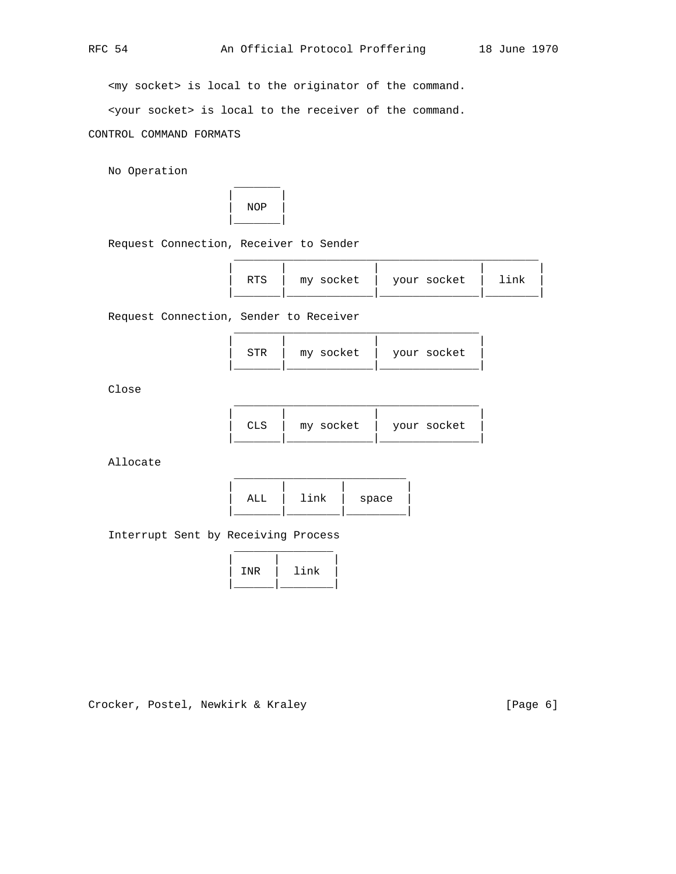$\frac{1}{2}$  ,  $\frac{1}{2}$  ,  $\frac{1}{2}$  ,  $\frac{1}{2}$  ,  $\frac{1}{2}$  ,  $\frac{1}{2}$  ,  $\frac{1}{2}$  ,  $\frac{1}{2}$  ,  $\frac{1}{2}$  ,  $\frac{1}{2}$  ,  $\frac{1}{2}$  ,  $\frac{1}{2}$  ,  $\frac{1}{2}$  ,  $\frac{1}{2}$  ,  $\frac{1}{2}$  ,  $\frac{1}{2}$  ,  $\frac{1}{2}$  ,  $\frac{1}{2}$  ,  $\frac{1$ 

 $\mathcal{L}_\text{max}$  , and the state of the state of the state of the state of the state of the state of the state of the state of the state of the state of the state of the state of the state of the state of the state of the st

<my socket> is local to the originator of the command.

<your socket> is local to the receiver of the command.

CONTROL COMMAND FORMATS

\_\_\_\_\_\_\_

No Operation



Request Connection, Receiver to Sender

| RTS | my socket   your socket   1 | link |
|-----|-----------------------------|------|
|     |                             |      |

Request Connection, Sender to Receiver

| STR | my socket | your socket |  |
|-----|-----------|-------------|--|
|     |           |             |  |

Close

| CLS | my socket | your socket |
|-----|-----------|-------------|
|     |           |             |

Allocate



Interrupt Sent by Receiving Process



Crocker, Postel, Newkirk & Kraley [Page 6]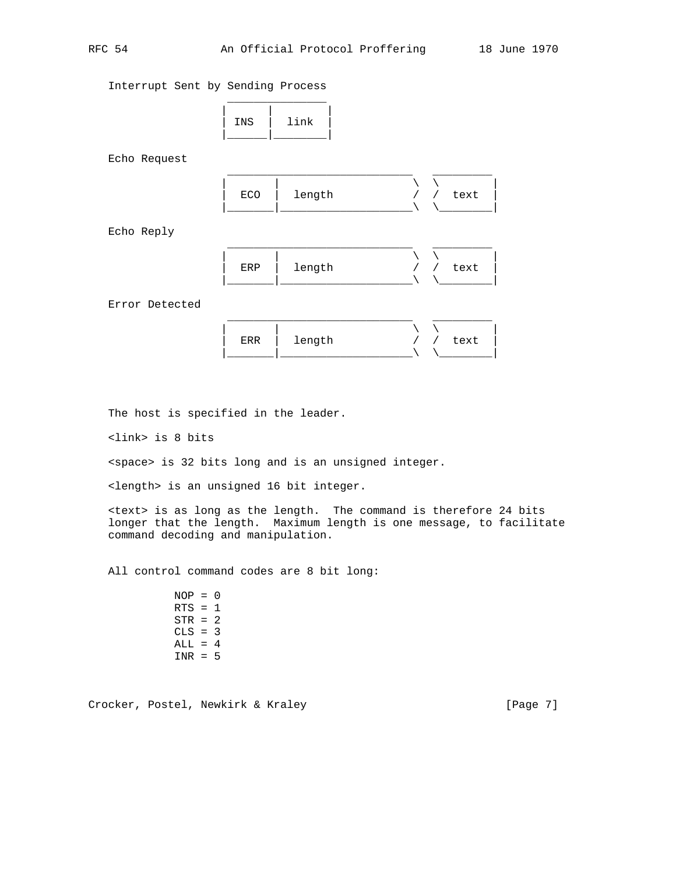Interrupt Sent by Sending Process



Echo Request



Echo Reply

| ERP | length | / text |
|-----|--------|--------|
|     |        |        |

Error Detected

|  | ERR   length | / text<br>$\mathbf{I}$ |
|--|--------------|------------------------|
|  |              |                        |

The host is specified in the leader.

<link> is 8 bits

<space> is 32 bits long and is an unsigned integer.

<length> is an unsigned 16 bit integer.

 <text> is as long as the length. The command is therefore 24 bits longer that the length. Maximum length is one message, to facilitate command decoding and manipulation.

All control command codes are 8 bit long:

 $NOP = 0$  $RTS = 1$  $STR = 2$  $CLS = 3$  $ALL = 4$  $INR = 5$ 

Crocker, Postel, Newkirk & Kraley [Page 7]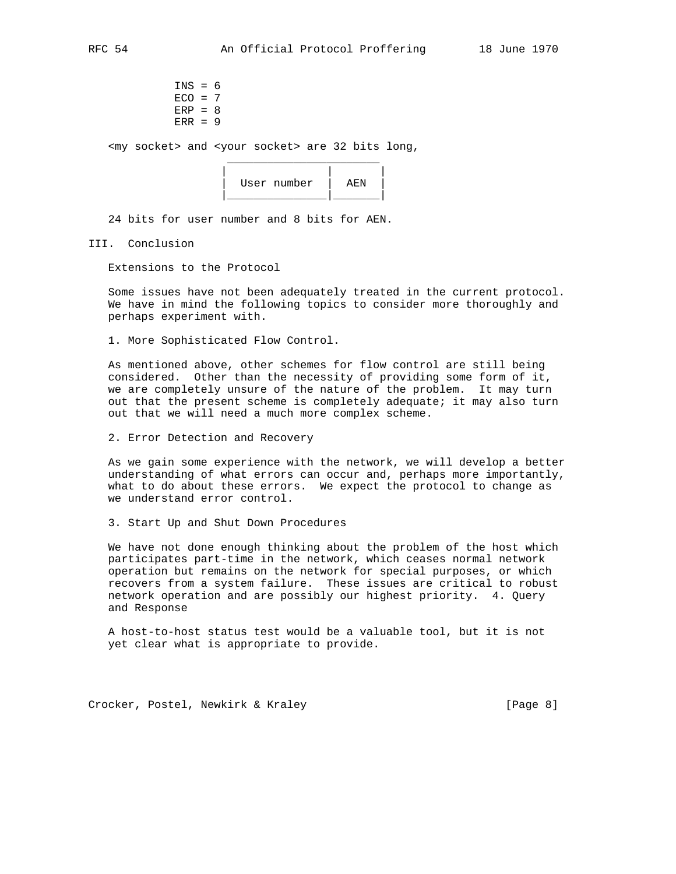<my socket> and <your socket> are 32 bits long,

| User number | ᅀᅚᇧ |  |
|-------------|-----|--|
|             |     |  |

24 bits for user number and 8 bits for AEN.

 $\overline{\phantom{a}}$  ,  $\overline{\phantom{a}}$  ,  $\overline{\phantom{a}}$  ,  $\overline{\phantom{a}}$  ,  $\overline{\phantom{a}}$  ,  $\overline{\phantom{a}}$  ,  $\overline{\phantom{a}}$  ,  $\overline{\phantom{a}}$  ,  $\overline{\phantom{a}}$  ,  $\overline{\phantom{a}}$  ,  $\overline{\phantom{a}}$  ,  $\overline{\phantom{a}}$  ,  $\overline{\phantom{a}}$  ,  $\overline{\phantom{a}}$  ,  $\overline{\phantom{a}}$  ,  $\overline{\phantom{a}}$ 

III. Conclusion

Extensions to the Protocol

 Some issues have not been adequately treated in the current protocol. We have in mind the following topics to consider more thoroughly and perhaps experiment with.

1. More Sophisticated Flow Control.

 As mentioned above, other schemes for flow control are still being considered. Other than the necessity of providing some form of it, we are completely unsure of the nature of the problem. It may turn out that the present scheme is completely adequate; it may also turn out that we will need a much more complex scheme.

2. Error Detection and Recovery

 As we gain some experience with the network, we will develop a better understanding of what errors can occur and, perhaps more importantly, what to do about these errors. We expect the protocol to change as we understand error control.

3. Start Up and Shut Down Procedures

 We have not done enough thinking about the problem of the host which participates part-time in the network, which ceases normal network operation but remains on the network for special purposes, or which recovers from a system failure. These issues are critical to robust network operation and are possibly our highest priority. 4. Query and Response

 A host-to-host status test would be a valuable tool, but it is not yet clear what is appropriate to provide.

Crocker, Postel, Newkirk & Kraley [Page 8]